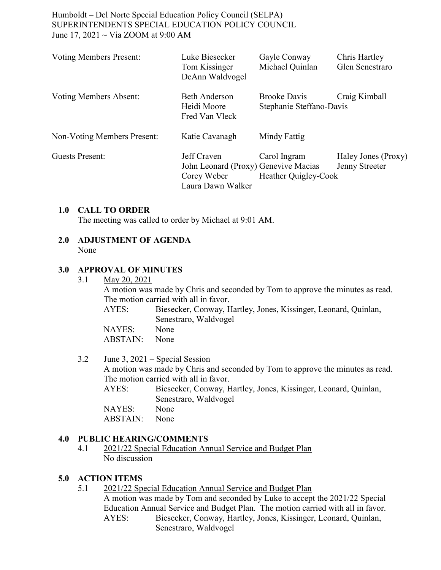| <b>Voting Members Present:</b> | Luke Biesecker<br>Tom Kissinger<br>DeAnn Waldvogel                                      | Gayle Conway<br>Michael Quinlan                 | Chris Hartley<br>Glen Senestraro      |
|--------------------------------|-----------------------------------------------------------------------------------------|-------------------------------------------------|---------------------------------------|
| <b>Voting Members Absent:</b>  | <b>Beth Anderson</b><br>Heidi Moore<br>Fred Van Vleck                                   | <b>Brooke Davis</b><br>Stephanie Steffano-Davis | Craig Kimball                         |
| Non-Voting Members Present:    | Katie Cavanagh                                                                          | Mindy Fattig                                    |                                       |
| <b>Guests Present:</b>         | Jeff Craven<br>John Leonard (Proxy) Genevive Macias<br>Corey Weber<br>Laura Dawn Walker | Carol Ingram<br>Heather Quigley-Cook            | Haley Jones (Proxy)<br>Jenny Streeter |

### **1.0 CALL TO ORDER**

The meeting was called to order by Michael at 9:01 AM.

### **2.0 ADJUSTMENT OF AGENDA** None

## **3.0 APPROVAL OF MINUTES**

3.1 May 20, 2021

A motion was made by Chris and seconded by Tom to approve the minutes as read. The motion carried with all in favor.

AYES: Biesecker, Conway, Hartley, Jones, Kissinger, Leonard, Quinlan, Senestraro, Waldvogel

NAYES: None ABSTAIN: None

3.2 June 3, 2021 – Special Session

A motion was made by Chris and seconded by Tom to approve the minutes as read. The motion carried with all in favor.

AYES: Biesecker, Conway, Hartley, Jones, Kissinger, Leonard, Quinlan, Senestraro, Waldvogel

NAYES: None ABSTAIN: None

## **4.0 PUBLIC HEARING/COMMENTS**

4.1 2021/22 Special Education Annual Service and Budget Plan No discussion

### **5.0 ACTION ITEMS**

5.1 2021/22 Special Education Annual Service and Budget Plan A motion was made by Tom and seconded by Luke to accept the 2021/22 Special Education Annual Service and Budget Plan. The motion carried with all in favor. AYES: Biesecker, Conway, Hartley, Jones, Kissinger, Leonard, Quinlan, Senestraro, Waldvogel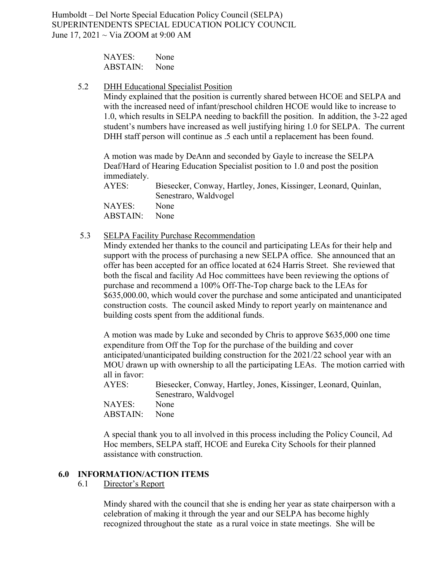| NAYES:   | None |
|----------|------|
| ABSTAIN: | None |

5.2 DHH Educational Specialist Position

Mindy explained that the position is currently shared between HCOE and SELPA and with the increased need of infant/preschool children HCOE would like to increase to 1.0, which results in SELPA needing to backfill the position. In addition, the 3-22 aged student's numbers have increased as well justifying hiring 1.0 for SELPA. The current DHH staff person will continue as .5 each until a replacement has been found.

A motion was made by DeAnn and seconded by Gayle to increase the SELPA Deaf/Hard of Hearing Education Specialist position to 1.0 and post the position immediately.

AYES: Biesecker, Conway, Hartley, Jones, Kissinger, Leonard, Quinlan, Senestraro, Waldvogel NAYES: None ABSTAIN: None

5.3 SELPA Facility Purchase Recommendation

Mindy extended her thanks to the council and participating LEAs for their help and support with the process of purchasing a new SELPA office. She announced that an offer has been accepted for an office located at 624 Harris Street. She reviewed that both the fiscal and facility Ad Hoc committees have been reviewing the options of purchase and recommend a 100% Off-The-Top charge back to the LEAs for \$635,000.00, which would cover the purchase and some anticipated and unanticipated construction costs. The council asked Mindy to report yearly on maintenance and building costs spent from the additional funds.

A motion was made by Luke and seconded by Chris to approve \$635,000 one time expenditure from Off the Top for the purchase of the building and cover anticipated/unanticipated building construction for the 2021/22 school year with an MOU drawn up with ownership to all the participating LEAs. The motion carried with all in favor:

| AYES:    | Biesecker, Conway, Hartley, Jones, Kissinger, Leonard, Quinlan, |
|----------|-----------------------------------------------------------------|
|          | Senestraro, Waldvogel                                           |
| NAYES:   | None                                                            |
| ABSTAIN: | None                                                            |

A special thank you to all involved in this process including the Policy Council, Ad Hoc members, SELPA staff, HCOE and Eureka City Schools for their planned assistance with construction.

### **6.0 INFORMATION/ACTION ITEMS**

6.1 Director's Report

Mindy shared with the council that she is ending her year as state chairperson with a celebration of making it through the year and our SELPA has become highly recognized throughout the state as a rural voice in state meetings. She will be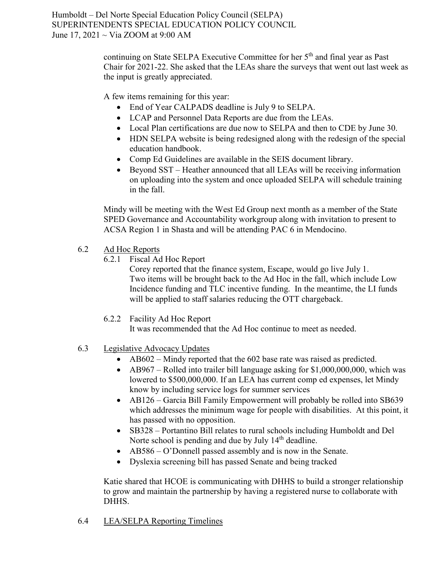> continuing on State SELPA Executive Committee for her 5<sup>th</sup> and final year as Past Chair for 2021-22. She asked that the LEAs share the surveys that went out last week as the input is greatly appreciated.

A few items remaining for this year:

- End of Year CALPADS deadline is July 9 to SELPA.
- LCAP and Personnel Data Reports are due from the LEAs.
- Local Plan certifications are due now to SELPA and then to CDE by June 30.
- HDN SELPA website is being redesigned along with the redesign of the special education handbook.
- Comp Ed Guidelines are available in the SEIS document library.
- Beyond SST Heather announced that all LEAs will be receiving information on uploading into the system and once uploaded SELPA will schedule training in the fall.

Mindy will be meeting with the West Ed Group next month as a member of the State SPED Governance and Accountability workgroup along with invitation to present to ACSA Region 1 in Shasta and will be attending PAC 6 in Mendocino.

- 6.2 Ad Hoc Reports
	- 6.2.1 Fiscal Ad Hoc Report

Corey reported that the finance system, Escape, would go live July 1. Two items will be brought back to the Ad Hoc in the fall, which include Low Incidence funding and TLC incentive funding. In the meantime, the LI funds will be applied to staff salaries reducing the OTT chargeback.

6.2.2 Facility Ad Hoc Report

It was recommended that the Ad Hoc continue to meet as needed.

- 6.3 Legislative Advocacy Updates
	- AB602 Mindy reported that the 602 base rate was raised as predicted.
	- AB967 Rolled into trailer bill language asking for \$1,000,000,000, which was lowered to \$500,000,000. If an LEA has current comp ed expenses, let Mindy know by including service logs for summer services
	- AB126 Garcia Bill Family Empowerment will probably be rolled into SB639 which addresses the minimum wage for people with disabilities. At this point, it has passed with no opposition.
	- SB328 Portantino Bill relates to rural schools including Humboldt and Del Norte school is pending and due by July 14<sup>th</sup> deadline.
	- AB586 O'Donnell passed assembly and is now in the Senate.
	- Dyslexia screening bill has passed Senate and being tracked

Katie shared that HCOE is communicating with DHHS to build a stronger relationship to grow and maintain the partnership by having a registered nurse to collaborate with DHHS.

6.4 LEA/SELPA Reporting Timelines